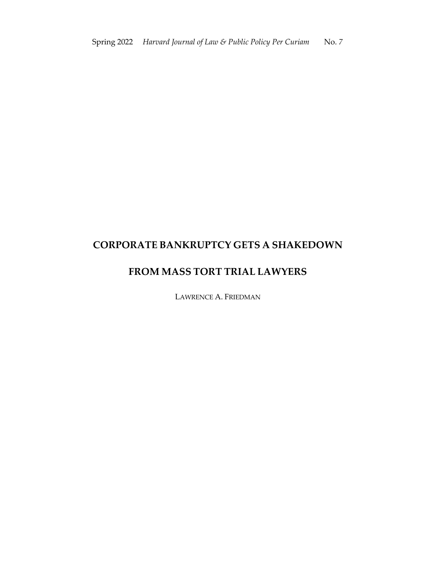# **CORPORATE BANKRUPTCY GETS A SHAKEDOWN**

## **FROM MASS TORT TRIAL LAWYERS**

LAWRENCE A. FRIEDMAN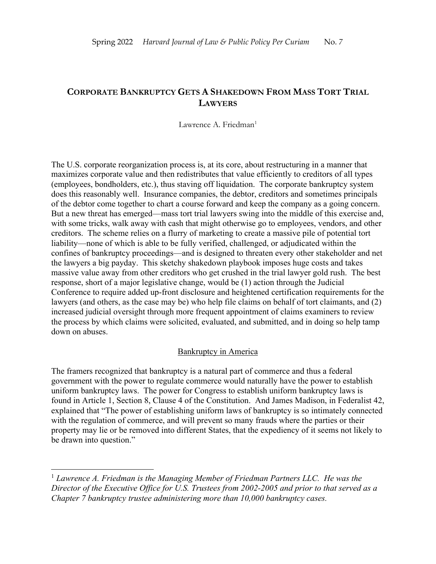## **CORPORATE BANKRUPTCY GETS A SHAKEDOWN FROM MASS TORT TRIAL LAWYERS**

Lawrence A. Friedman<sup>1</sup>

The U.S. corporate reorganization process is, at its core, about restructuring in a manner that maximizes corporate value and then redistributes that value efficiently to creditors of all types (employees, bondholders, etc.), thus staving off liquidation. The corporate bankruptcy system does this reasonably well. Insurance companies, the debtor, creditors and sometimes principals of the debtor come together to chart a course forward and keep the company as a going concern. But a new threat has emerged—mass tort trial lawyers swing into the middle of this exercise and, with some tricks, walk away with cash that might otherwise go to employees, vendors, and other creditors. The scheme relies on a flurry of marketing to create a massive pile of potential tort liability—none of which is able to be fully verified, challenged, or adjudicated within the confines of bankruptcy proceedings—and is designed to threaten every other stakeholder and net the lawyers a big payday. This sketchy shakedown playbook imposes huge costs and takes massive value away from other creditors who get crushed in the trial lawyer gold rush. The best response, short of a major legislative change, would be (1) action through the Judicial Conference to require added up-front disclosure and heightened certification requirements for the lawyers (and others, as the case may be) who help file claims on behalf of tort claimants, and (2) increased judicial oversight through more frequent appointment of claims examiners to review the process by which claims were solicited, evaluated, and submitted, and in doing so help tamp down on abuses.

#### Bankruptcy in America

The framers recognized that bankruptcy is a natural part of commerce and thus a federal government with the power to regulate commerce would naturally have the power to establish uniform bankruptcy laws. The power for Congress to establish uniform bankruptcy laws is found in Article 1, Section 8, Clause 4 of the Constitution. And James Madison, in Federalist 42, explained that "The power of establishing uniform laws of bankruptcy is so intimately connected with the regulation of commerce, and will prevent so many frauds where the parties or their property may lie or be removed into different States, that the expediency of it seems not likely to be drawn into question."

<sup>1</sup> *Lawrence A. Friedman is the Managing Member of Friedman Partners LLC. He was the Director of the Executive Office for U.S. Trustees from 2002-2005 and prior to that served as a Chapter 7 bankruptcy trustee administering more than 10,000 bankruptcy cases.*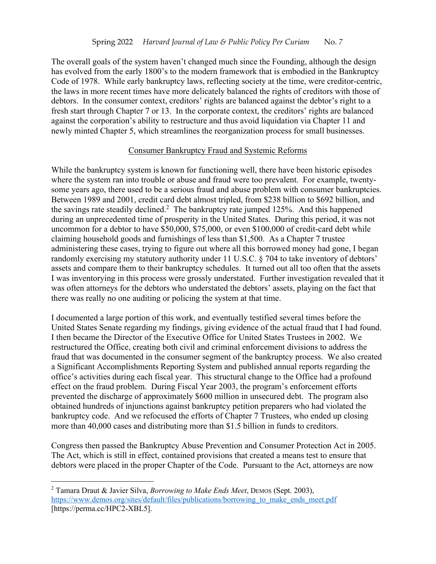The overall goals of the system haven't changed much since the Founding, although the design has evolved from the early 1800's to the modern framework that is embodied in the Bankruptcy Code of 1978. While early bankruptcy laws, reflecting society at the time, were creditor-centric, the laws in more recent times have more delicately balanced the rights of creditors with those of debtors. In the consumer context, creditors' rights are balanced against the debtor's right to a fresh start through Chapter 7 or 13. In the corporate context, the creditors' rights are balanced against the corporation's ability to restructure and thus avoid liquidation via Chapter 11 and newly minted Chapter 5, which streamlines the reorganization process for small businesses.

#### Consumer Bankruptcy Fraud and Systemic Reforms

While the bankruptcy system is known for functioning well, there have been historic episodes where the system ran into trouble or abuse and fraud were too prevalent. For example, twentysome years ago, there used to be a serious fraud and abuse problem with consumer bankruptcies. Between 1989 and 2001, credit card debt almost tripled, from \$238 billion to \$692 billion, and the savings rate steadily declined.<sup>2</sup> The bankruptcy rate jumped 125%. And this happened during an unprecedented time of prosperity in the United States. During this period, it was not uncommon for a debtor to have \$50,000, \$75,000, or even \$100,000 of credit-card debt while claiming household goods and furnishings of less than \$1,500. As a Chapter 7 trustee administering these cases, trying to figure out where all this borrowed money had gone, I began randomly exercising my statutory authority under 11 U.S.C. § 704 to take inventory of debtors' assets and compare them to their bankruptcy schedules. It turned out all too often that the assets I was inventorying in this process were grossly understated. Further investigation revealed that it was often attorneys for the debtors who understated the debtors' assets, playing on the fact that there was really no one auditing or policing the system at that time.

I documented a large portion of this work, and eventually testified several times before the United States Senate regarding my findings, giving evidence of the actual fraud that I had found. I then became the Director of the Executive Office for United States Trustees in 2002. We restructured the Office, creating both civil and criminal enforcement divisions to address the fraud that was documented in the consumer segment of the bankruptcy process. We also created a Significant Accomplishments Reporting System and published annual reports regarding the office's activities during each fiscal year. This structural change to the Office had a profound effect on the fraud problem. During Fiscal Year 2003, the program's enforcement efforts prevented the discharge of approximately \$600 million in unsecured debt. The program also obtained hundreds of injunctions against bankruptcy petition preparers who had violated the bankruptcy code. And we refocused the efforts of Chapter 7 Trustees, who ended up closing more than 40,000 cases and distributing more than \$1.5 billion in funds to creditors.

Congress then passed the Bankruptcy Abuse Prevention and Consumer Protection Act in 2005. The Act, which is still in effect, contained provisions that created a means test to ensure that debtors were placed in the proper Chapter of the Code. Pursuant to the Act, attorneys are now

<sup>2</sup> Tamara Draut & Javier Silva, *Borrowing to Make Ends Meet*, DEMOS (Sept. 2003), https://www.demos.org/sites/default/files/publications/borrowing to make ends meet.pdf [https://perma.cc/HPC2-XBL5].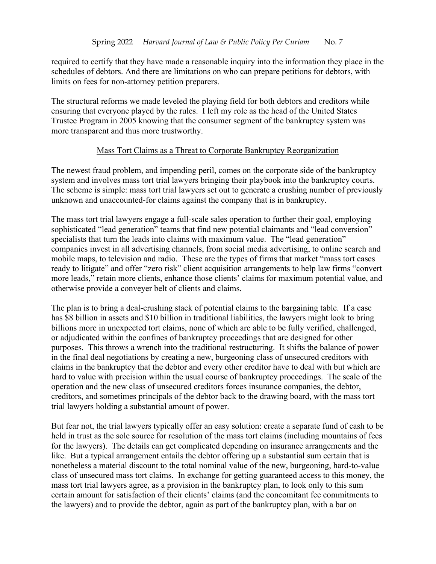required to certify that they have made a reasonable inquiry into the information they place in the schedules of debtors. And there are limitations on who can prepare petitions for debtors, with limits on fees for non-attorney petition preparers.

The structural reforms we made leveled the playing field for both debtors and creditors while ensuring that everyone played by the rules. I left my role as the head of the United States Trustee Program in 2005 knowing that the consumer segment of the bankruptcy system was more transparent and thus more trustworthy.

#### Mass Tort Claims as a Threat to Corporate Bankruptcy Reorganization

The newest fraud problem, and impending peril, comes on the corporate side of the bankruptcy system and involves mass tort trial lawyers bringing their playbook into the bankruptcy courts. The scheme is simple: mass tort trial lawyers set out to generate a crushing number of previously unknown and unaccounted-for claims against the company that is in bankruptcy.

The mass tort trial lawyers engage a full-scale sales operation to further their goal, employing sophisticated "lead generation" teams that find new potential claimants and "lead conversion" specialists that turn the leads into claims with maximum value. The "lead generation" companies invest in all advertising channels, from social media advertising, to online search and mobile maps, to television and radio. These are the types of firms that market "mass tort cases ready to litigate" and offer "zero risk" client acquisition arrangements to help law firms "convert more leads," retain more clients, enhance those clients' claims for maximum potential value, and otherwise provide a conveyer belt of clients and claims.

The plan is to bring a deal-crushing stack of potential claims to the bargaining table. If a case has \$8 billion in assets and \$10 billion in traditional liabilities, the lawyers might look to bring billions more in unexpected tort claims, none of which are able to be fully verified, challenged, or adjudicated within the confines of bankruptcy proceedings that are designed for other purposes. This throws a wrench into the traditional restructuring. It shifts the balance of power in the final deal negotiations by creating a new, burgeoning class of unsecured creditors with claims in the bankruptcy that the debtor and every other creditor have to deal with but which are hard to value with precision within the usual course of bankruptcy proceedings. The scale of the operation and the new class of unsecured creditors forces insurance companies, the debtor, creditors, and sometimes principals of the debtor back to the drawing board, with the mass tort trial lawyers holding a substantial amount of power.

But fear not, the trial lawyers typically offer an easy solution: create a separate fund of cash to be held in trust as the sole source for resolution of the mass tort claims (including mountains of fees for the lawyers). The details can get complicated depending on insurance arrangements and the like. But a typical arrangement entails the debtor offering up a substantial sum certain that is nonetheless a material discount to the total nominal value of the new, burgeoning, hard-to-value class of unsecured mass tort claims. In exchange for getting guaranteed access to this money, the mass tort trial lawyers agree, as a provision in the bankruptcy plan, to look only to this sum certain amount for satisfaction of their clients' claims (and the concomitant fee commitments to the lawyers) and to provide the debtor, again as part of the bankruptcy plan, with a bar on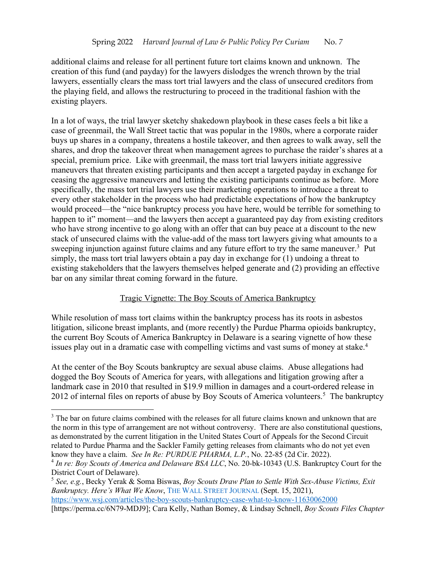additional claims and release for all pertinent future tort claims known and unknown. The creation of this fund (and payday) for the lawyers dislodges the wrench thrown by the trial lawyers, essentially clears the mass tort trial lawyers and the class of unsecured creditors from the playing field, and allows the restructuring to proceed in the traditional fashion with the existing players.

In a lot of ways, the trial lawyer sketchy shakedown playbook in these cases feels a bit like a case of greenmail, the Wall Street tactic that was popular in the 1980s, where a corporate raider buys up shares in a company, threatens a hostile takeover, and then agrees to walk away, sell the shares, and drop the takeover threat when management agrees to purchase the raider's shares at a special, premium price. Like with greenmail, the mass tort trial lawyers initiate aggressive maneuvers that threaten existing participants and then accept a targeted payday in exchange for ceasing the aggressive maneuvers and letting the existing participants continue as before. More specifically, the mass tort trial lawyers use their marketing operations to introduce a threat to every other stakeholder in the process who had predictable expectations of how the bankruptcy would proceed—the "nice bankruptcy process you have here, would be terrible for something to happen to it" moment—and the lawyers then accept a guaranteed pay day from existing creditors who have strong incentive to go along with an offer that can buy peace at a discount to the new stack of unsecured claims with the value-add of the mass tort lawyers giving what amounts to a sweeping injunction against future claims and any future effort to try the same maneuver.<sup>3</sup> Put simply, the mass tort trial lawyers obtain a pay day in exchange for (1) undoing a threat to existing stakeholders that the lawyers themselves helped generate and (2) providing an effective bar on any similar threat coming forward in the future.

#### Tragic Vignette: The Boy Scouts of America Bankruptcy

While resolution of mass tort claims within the bankruptcy process has its roots in asbestos litigation, silicone breast implants, and (more recently) the Purdue Pharma opioids bankruptcy, the current Boy Scouts of America Bankruptcy in Delaware is a searing vignette of how these issues play out in a dramatic case with compelling victims and vast sums of money at stake. 4

At the center of the Boy Scouts bankruptcy are sexual abuse claims. Abuse allegations had dogged the Boy Scouts of America for years, with allegations and litigation growing after a landmark case in 2010 that resulted in \$19.9 million in damages and a court-ordered release in 2012 of internal files on reports of abuse by Boy Scouts of America volunteers.<sup>5</sup> The bankruptcy

<sup>&</sup>lt;sup>3</sup> The bar on future claims combined with the releases for all future claims known and unknown that are the norm in this type of arrangement are not without controversy. There are also constitutional questions, as demonstrated by the current litigation in the United States Court of Appeals for the Second Circuit related to Purdue Pharma and the Sackler Family getting releases from claimants who do not yet even know they have a claim. *See In Re: PURDUE PHARMA, L.P.*, No. 22-85 (2d Cir. 2022).

<sup>4</sup> *In re: Boy Scouts of America and Delaware BSA LLC*, No. 20-bk-10343 (U.S. Bankruptcy Court for the District Court of Delaware).

<sup>5</sup> *See, e.g.*, Becky Yerak & Soma Biswas, *Boy Scouts Draw Plan to Settle With Sex-Abuse Victims, Exit Bankruptcy. Here's What We Know*, THE WALL STREET JOURNAL (Sept. 15, 2021), https://www.wsj.com/articles/the-boy-scouts-bankruptcy-case-what-to-know-11630062000 [https://perma.cc/6N79-MDJ9]; Cara Kelly, Nathan Bomey, & Lindsay Schnell, *Boy Scouts Files Chapter*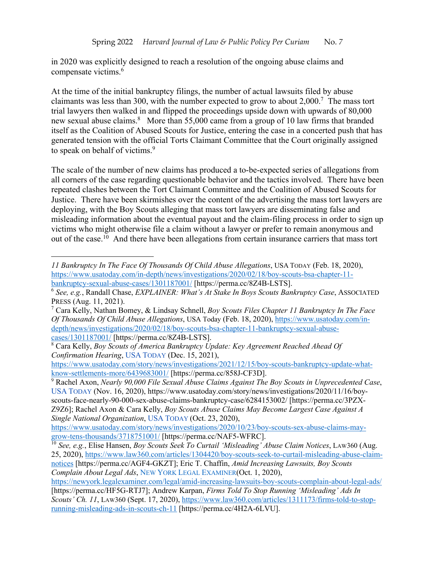in 2020 was explicitly designed to reach a resolution of the ongoing abuse claims and compensate victims.6

At the time of the initial bankruptcy filings, the number of actual lawsuits filed by abuse claimants was less than 300, with the number expected to grow to about 2,000.7 The mass tort trial lawyers then walked in and flipped the proceedings upside down with upwards of 80,000 new sexual abuse claims.<sup>8</sup> More than 55,000 came from a group of 10 law firms that branded itself as the Coalition of Abused Scouts for Justice, entering the case in a concerted push that has generated tension with the official Torts Claimant Committee that the Court originally assigned to speak on behalf of victims.<sup>9</sup>

The scale of the number of new claims has produced a to-be-expected series of allegations from all corners of the case regarding questionable behavior and the tactics involved. There have been repeated clashes between the Tort Claimant Committee and the Coalition of Abused Scouts for Justice. There have been skirmishes over the content of the advertising the mass tort lawyers are deploying, with the Boy Scouts alleging that mass tort lawyers are disseminating false and misleading information about the eventual payout and the claim-filing process in order to sign up victims who might otherwise file a claim without a lawyer or prefer to remain anonymous and out of the case.<sup>10</sup> And there have been allegations from certain insurance carriers that mass tort

*<sup>11</sup> Bankruptcy In The Face Of Thousands Of Child Abuse Allegations*, USA TODAY (Feb. 18, 2020), https://www.usatoday.com/in-depth/news/investigations/2020/02/18/boy-scouts-bsa-chapter-11-<br>bankruptcy-sexual-abuse-cases/1301187001/ [https://perma.cc/8Z4B-LSTS].

<sup>&</sup>lt;sup>6</sup> See, e.g., Randall Chase, *EXPLAINER: What's At Stake In Boys Scouts Bankruptcy Case*, ASSOCIATED PRESS (Aug. 11, 2021).

<sup>7</sup> Cara Kelly, Nathan Bomey, & Lindsay Schnell, *Boy Scouts Files Chapter 11 Bankruptcy In The Face Of Thousands Of Child Abuse Allegations*, USA Today (Feb. 18, 2020), https://www.usatoday.com/indepth/news/investigations/2020/02/18/boy-scouts-bsa-chapter-11-bankruptcy-sexual-abusecases/1301187001/ [https://perma.cc/8Z4B-LSTS].

<sup>8</sup> Cara Kelly, *Boy Scouts of America Bankruptcy Update: Key Agreement Reached Ahead Of Confirmation Hearing*, USA TODAY (Dec. 15, 2021),

https://www.usatoday.com/story/news/investigations/2021/12/15/boy-scouts-bankruptcy-update-whatknow-settlements-more/6439683001/ [https://perma.cc/858J-CF3D].

<sup>9</sup> Rachel Axon, *Nearly 90,000 File Sexual Abuse Claims Against The Boy Scouts in Unprecedented Case*, USA TODAY (Nov. 16, 2020), https://www.usatoday.com/story/news/investigations/2020/11/16/boyscouts-face-nearly-90-000-sex-abuse-claims-bankruptcy-case/6284153002/ [https://perma.cc/3PZX-Z9Z6]; Rachel Axon & Cara Kelly, *Boy Scouts Abuse Claims May Become Largest Case Against A Single National Organization*, USA TODAY (Oct. 23, 2020),

https://www.usatoday.com/story/news/investigations/2020/10/23/boy-scouts-sex-abuse-claims-maygrow-tens-thousands/3718751001/ [https://perma.cc/NAF5-WFRC].

<sup>10</sup> *See, e.g.*, Elise Hansen, *Boy Scouts Seek To Curtail 'Misleading' Abuse Claim Notices*, LAW360 (Aug. 25, 2020), https://www.law360.com/articles/1304420/boy-scouts-seek-to-curtail-misleading-abuse-claimnotices [https://perma.cc/AGF4-GKZT]; Eric T. Chaffin, *Amid Increasing Lawsuits, Boy Scouts Complain About Legal Ads*, NEW YORK LEGAL EXAMINER(Oct. 1, 2020),

https://newyork.legalexaminer.com/legal/amid-increasing-lawsuits-boy-scouts-complain-about-legal-ads/ [https://perma.cc/HF5G-RTJ7]; Andrew Karpan, *Firms Told To Stop Running 'Misleading' Ads In Scouts' Ch. 11*, LAW360 (Sept. 17, 2020), https://www.law360.com/articles/1311173/firms-told-to-stoprunning-misleading-ads-in-scouts-ch-11 [https://perma.cc/4H2A-6LVU].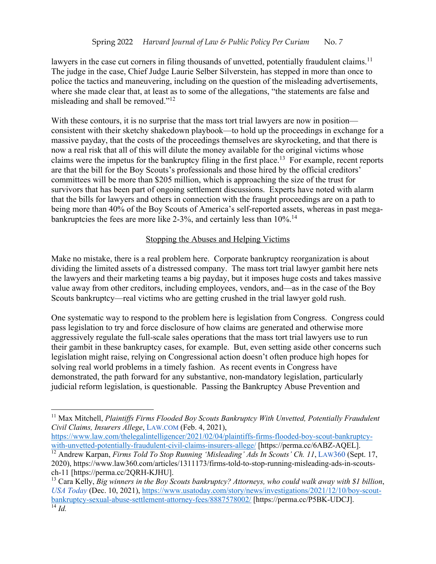lawyers in the case cut corners in filing thousands of unvetted, potentially fraudulent claims.<sup>11</sup> The judge in the case, Chief Judge Laurie Selber Silverstein, has stepped in more than once to police the tactics and maneuvering, including on the question of the misleading advertisements, where she made clear that, at least as to some of the allegations, "the statements are false and misleading and shall be removed."12

With these contours, it is no surprise that the mass tort trial lawyers are now in position consistent with their sketchy shakedown playbook—to hold up the proceedings in exchange for a massive payday, that the costs of the proceedings themselves are skyrocketing, and that there is now a real risk that all of this will dilute the money available for the original victims whose claims were the impetus for the bankruptcy filing in the first place.13 For example, recent reports are that the bill for the Boy Scouts's professionals and those hired by the official creditors' committees will be more than \$205 million, which is approaching the size of the trust for survivors that has been part of ongoing settlement discussions. Experts have noted with alarm that the bills for lawyers and others in connection with the fraught proceedings are on a path to being more than 40% of the Boy Scouts of America's self-reported assets, whereas in past megabankruptcies the fees are more like 2-3%, and certainly less than 10%.<sup>14</sup>

## Stopping the Abuses and Helping Victims

Make no mistake, there is a real problem here. Corporate bankruptcy reorganization is about dividing the limited assets of a distressed company. The mass tort trial lawyer gambit here nets the lawyers and their marketing teams a big payday, but it imposes huge costs and takes massive value away from other creditors, including employees, vendors, and—as in the case of the Boy Scouts bankruptcy—real victims who are getting crushed in the trial lawyer gold rush.

One systematic way to respond to the problem here is legislation from Congress. Congress could pass legislation to try and force disclosure of how claims are generated and otherwise more aggressively regulate the full-scale sales operations that the mass tort trial lawyers use to run their gambit in these bankruptcy cases, for example. But, even setting aside other concerns such legislation might raise, relying on Congressional action doesn't often produce high hopes for solving real world problems in a timely fashion. As recent events in Congress have demonstrated, the path forward for any substantive, non-mandatory legislation, particularly judicial reform legislation, is questionable. Passing the Bankruptcy Abuse Prevention and

https://www.law.com/thelegalintelligencer/2021/02/04/plaintiffs-firms-flooded-boy-scout-bankruptcywith-unvetted-potentially-fraudulent-civil-claims-insurers-allege/ [https://perma.cc/6ABZ-AQEL].

<sup>&</sup>lt;sup>11</sup> Max Mitchell, *Plaintiffs Firms Flooded Boy Scouts Bankruptcy With Unvetted, Potentially Fraudulent Civil Claims, Insurers Allege*, LAW.COM (Feb. 4, 2021),

<sup>12</sup> Andrew Karpan, *Firms Told To Stop Running 'Misleading' Ads In Scouts' Ch. 11*, LAW360 (Sept. 17, 2020), https://www.law360.com/articles/1311173/firms-told-to-stop-running-misleading-ads-in-scoutsch-11 [https://perma.cc/2QRH-KJHU].

<sup>13</sup> Cara Kelly, *Big winners in the Boy Scouts bankruptcy? Attorneys, who could walk away with \$1 billion*, *USA Today* (Dec. 10, 2021), https://www.usatoday.com/story/news/investigations/2021/12/10/boy-scoutbankruptcy-sexual-abuse-settlement-attorney-fees/8887578002/ [https://perma.cc/P5BK-UDCJ].  $\overline{14}$  *Id.*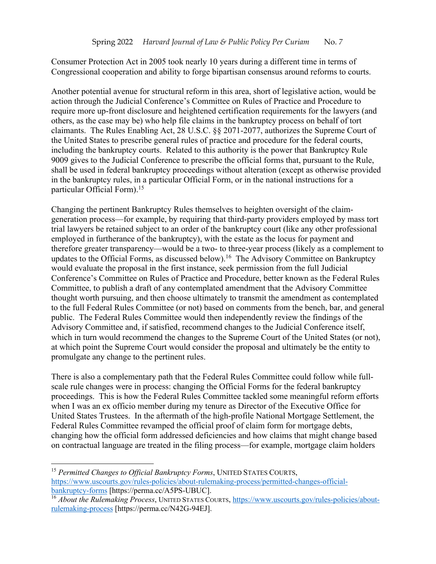Consumer Protection Act in 2005 took nearly 10 years during a different time in terms of Congressional cooperation and ability to forge bipartisan consensus around reforms to courts.

Another potential avenue for structural reform in this area, short of legislative action, would be action through the Judicial Conference's Committee on Rules of Practice and Procedure to require more up-front disclosure and heightened certification requirements for the lawyers (and others, as the case may be) who help file claims in the bankruptcy process on behalf of tort claimants. The Rules Enabling Act, 28 U.S.C. §§ 2071-2077, authorizes the Supreme Court of the United States to prescribe general rules of practice and procedure for the federal courts, including the bankruptcy courts. Related to this authority is the power that Bankruptcy Rule 9009 gives to the Judicial Conference to prescribe the official forms that, pursuant to the Rule, shall be used in federal bankruptcy proceedings without alteration (except as otherwise provided in the bankruptcy rules, in a particular Official Form, or in the national instructions for a particular Official Form). 15

Changing the pertinent Bankruptcy Rules themselves to heighten oversight of the claimgeneration process—for example, by requiring that third-party providers employed by mass tort trial lawyers be retained subject to an order of the bankruptcy court (like any other professional employed in furtherance of the bankruptcy), with the estate as the locus for payment and therefore greater transparency—would be a two- to three-year process (likely as a complement to updates to the Official Forms, as discussed below). 16 The Advisory Committee on Bankruptcy would evaluate the proposal in the first instance, seek permission from the full Judicial Conference's Committee on Rules of Practice and Procedure, better known as the Federal Rules Committee, to publish a draft of any contemplated amendment that the Advisory Committee thought worth pursuing, and then choose ultimately to transmit the amendment as contemplated to the full Federal Rules Committee (or not) based on comments from the bench, bar, and general public. The Federal Rules Committee would then independently review the findings of the Advisory Committee and, if satisfied, recommend changes to the Judicial Conference itself, which in turn would recommend the changes to the Supreme Court of the United States (or not), at which point the Supreme Court would consider the proposal and ultimately be the entity to promulgate any change to the pertinent rules.

There is also a complementary path that the Federal Rules Committee could follow while fullscale rule changes were in process: changing the Official Forms for the federal bankruptcy proceedings. This is how the Federal Rules Committee tackled some meaningful reform efforts when I was an ex officio member during my tenure as Director of the Executive Office for United States Trustees. In the aftermath of the high-profile National Mortgage Settlement, the Federal Rules Committee revamped the official proof of claim form for mortgage debts, changing how the official form addressed deficiencies and how claims that might change based on contractual language are treated in the filing process—for example, mortgage claim holders

<sup>15</sup> *Permitted Changes to Official Bankruptcy Forms*, UNITED STATES COURTS, https://www.uscourts.gov/rules-policies/about-rulemaking-process/permitted-changes-officialbankruptcy-forms [https://perma.cc/A5PS-UBUC].

<sup>&</sup>lt;sup>16</sup> *About the Rulemaking Process*, UNITED STATES COURTS, https://www.uscourts.gov/rules-policies/aboutrulemaking-process [https://perma.cc/N42G-94EJ].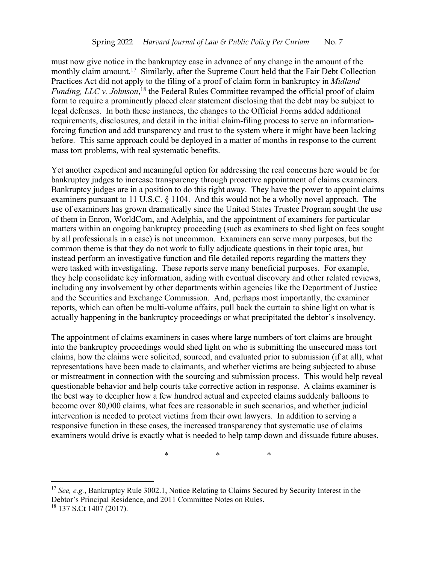must now give notice in the bankruptcy case in advance of any change in the amount of the monthly claim amount.<sup>17</sup> Similarly, after the Supreme Court held that the Fair Debt Collection Practices Act did not apply to the filing of a proof of claim form in bankruptcy in *Midland Funding, LLC v. Johnson*, <sup>18</sup> the Federal Rules Committee revamped the official proof of claim form to require a prominently placed clear statement disclosing that the debt may be subject to legal defenses. In both these instances, the changes to the Official Forms added additional requirements, disclosures, and detail in the initial claim-filing process to serve an informationforcing function and add transparency and trust to the system where it might have been lacking before. This same approach could be deployed in a matter of months in response to the current mass tort problems, with real systematic benefits.

Yet another expedient and meaningful option for addressing the real concerns here would be for bankruptcy judges to increase transparency through proactive appointment of claims examiners. Bankruptcy judges are in a position to do this right away. They have the power to appoint claims examiners pursuant to 11 U.S.C. § 1104. And this would not be a wholly novel approach. The use of examiners has grown dramatically since the United States Trustee Program sought the use of them in Enron, WorldCom, and Adelphia, and the appointment of examiners for particular matters within an ongoing bankruptcy proceeding (such as examiners to shed light on fees sought by all professionals in a case) is not uncommon. Examiners can serve many purposes, but the common theme is that they do not work to fully adjudicate questions in their topic area, but instead perform an investigative function and file detailed reports regarding the matters they were tasked with investigating. These reports serve many beneficial purposes. For example, they help consolidate key information, aiding with eventual discovery and other related reviews, including any involvement by other departments within agencies like the Department of Justice and the Securities and Exchange Commission. And, perhaps most importantly, the examiner reports, which can often be multi-volume affairs, pull back the curtain to shine light on what is actually happening in the bankruptcy proceedings or what precipitated the debtor's insolvency.

The appointment of claims examiners in cases where large numbers of tort claims are brought into the bankruptcy proceedings would shed light on who is submitting the unsecured mass tort claims, how the claims were solicited, sourced, and evaluated prior to submission (if at all), what representations have been made to claimants, and whether victims are being subjected to abuse or mistreatment in connection with the sourcing and submission process. This would help reveal questionable behavior and help courts take corrective action in response. A claims examiner is the best way to decipher how a few hundred actual and expected claims suddenly balloons to become over 80,000 claims, what fees are reasonable in such scenarios, and whether judicial intervention is needed to protect victims from their own lawyers. In addition to serving a responsive function in these cases, the increased transparency that systematic use of claims examiners would drive is exactly what is needed to help tamp down and dissuade future abuses.

\* \* \*

<sup>17</sup> *See, e.g.*, Bankruptcy Rule 3002.1, Notice Relating to Claims Secured by Security Interest in the Debtor's Principal Residence, and 2011 Committee Notes on Rules.  $18$  137 S.Ct 1407 (2017).